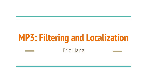# **MP3: Filtering and Localization**

#### Eric Liang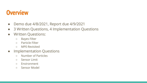#### **Overview**

- Demo due 4/8/2021, Report due 4/9/2021
- 3 Written Questions, 4 Implementation Questions
- Written Questions:
	- Bayes Filter
	- Particle Filter
	- MP0 Revisited
- Implementation Questions
	- Number of Particles
	- Sensor Limit
	- Environment
	- Sensor Model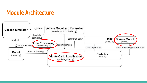#### **Module Architecture**

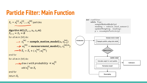#### **Particle Filter: Main Function**

 $X_t = x_t^{[1]}, x_t^{[2]}, \dots x_t^{[M]}$  particles

Algorithm MCL( $X_{t-1}$ ,  $u_t$ ,  $z_t$ , m):  $\overline{X}_{t-1} = X_t = \emptyset$ for all  $m$  in [M] do:  $\Rightarrow x_t^{[m]} = \text{sample\_motion\_model}(u_t x_{t-1}^{[m]})$  $\rightarrow$  w<sub>t</sub><sup>[m]</sup> = measurement\_model( $z_t$ ,  $x_t^{[m],m}$ )  $\longrightarrow \overline{X}_t = \overline{X}_t + \langle x_t^{[m]}, w_t^{[m]} \rangle$ 

end for

for all  $m$  in [M] do:

$$
\sum_{\text{draw } i \text{ with probability } \alpha} w_t^{[i]}
$$
  
add  $x_t^{[i]}$  to  $X_t$   
end for

return  $X_t$ 

while True: sampleMotionModel(p) reading =  $v$ ehicle\_read\_sensor() updateWeight(p, reading)  $p = resampleParticle(p)$ Sample motion model Initialization Propagate particle using state model Measurement Update weight Calculate weight for each particle Estimation Normalize weight

Resampling

def runFilter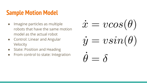# **Sample Motion Model**

- Imagine particles as multiple robots that have the same motion model as the actual robot
- Control: Linear and Angular Velocity
- State: Position and Heading
- From control to state: Integration

 $\dot{x} = v cos(\theta)$  $\dot{y} = v sin(\theta)$  $\theta = \delta$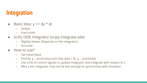# **Integration**

- Basic Idea:  $y == dy * \Delta t$ 
	- Simple
	- Inaccurate
- SciPy ODE Integrator (scipy.integrate.ode)
	- Slightly Slower (Depends on the integrator)
	- Accurate
- How to use?
	- Set initial Value
	- $\circ$  Find f(t, y, ...(controls)) such that dy(t) = f(t, y, ...(controls))
	- Use a list of control signals to update integrator and integrate with respect to t
	- Why a list: Integrator may not be fast enough to synchronize with simulator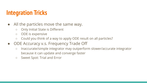# **Integration Tricks**

- All the particles move the same way.
	- Only Initial State is Different
	- ODE is expensive
	- Could you think of a way to apply ODE result on all particles?
- ODE Accuracy v.s. Frequency Trade Off
	- Inaccurate/simple integrator may outperform slower/accurate integrator because it can update and converge faster
	- Sweet Spot: Trial and Error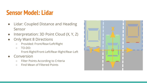#### **Sensor Model: Lidar**

- Lidar: Coupled Distance and Heading Sensor
- Interpretation: 3D Point Cloud (X, Y, Z)
- **Only Want 8 Directions** 
	- Provided: Front/Rear/Left/Right
	- TO-DO:
		- Front-Right/Front-Left/Rear-Right/Rear-Left
- **Conversion** 
	- Filter Points According to Criteria
	- Find Mean of Filtered Points

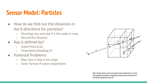#### **Sensor Model: Particles**

- How do we find out the distances in the 8 directions for particles?
	- Shooting rays and see if it hits walls in map
	- Record the distance
- Ray is defined by?
	- Initial Point (Car)
	- Orientation/Heading (?)
- Potential Problems
	- May miss if step is too large
	- Slow: Particle Position Dependent



http://what-when-how.com/advanced-methods-in-comp uter-graphics/collision-detection-advanced-methods-incomputer-graphics-part-6/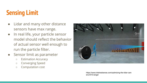# **Sensing Limit**

- Lidar and many other distance sensors have max range.
- In real life, your particle sensor model should reflect the behavior of actual sensor well enough to run the particle filter.
- Sensor limit as parameter
	- Estimation Accuracy
	- Converging Speed
	- Computation cost



https://www.intelrealsense.com/optimizing-the-lidar-cam era-l515-range/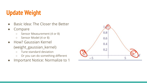# **Update Weight**

- Basic Idea: The Closer the Better
- **Compare** 
	- Sensor Measurement (4 or 8)
	- Sensor Model (4 or 8)
- How? Gaussian Kernel (weight\_gaussian\_kernel)
	- Tune standard deviation
	- Or you can do something different
- Important Notice: Normalize to 1

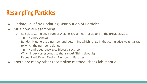# **Resampling Particles**

- Update Belief by Updating Distribution of Particles
- Multinomial Resampling
	- Calculate Cumulative Sum of Weights (Again, normalize to 1 in the previous step)
		- NumPy cumsum
	- Randomly generate a number and determine which range in that cumulative weight array to which the number belongs
		- NumPy searchsorted/ Bisect bisect\_left
	- Which index corresponds to that range? (Think about it)
	- Repeat Until Reach Desired Number of Particles
- There are many other resampling method: check lab manual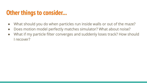#### **Other things to consider...**

- What should you do when particles run inside walls or out of the maze?
- Does motion model perfectly matches simulator? What about noise?
- What if my particle filter converges and suddenly loses track? How should I recover?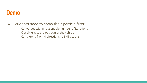#### **Demo**

- Students need to show their particle filter
	- Converges within reasonable number of iterations
	- Closely tracks the position of the vehicle
	- Can extend from 4 directions to 8 directions